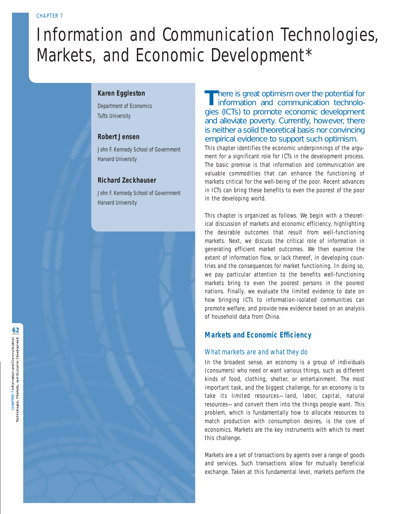# Information and Communication Technologies, Markets, and Economic Development\*

# **Karen Eggleston**

Department of Economics Tufts University

# **Robert Jensen**

John F. Kennedy School of Government Harvard University

# **Richard Zeckhauser**

John F. Kennedy School of Government Harvard University

There is great optimism over the potential for<br>information and communication technologies (ICTs) to promote economic development and alleviate poverty. Currently, however, there is neither a solid theoretical basis nor convincing empirical evidence to support such optimism.

This chapter identifies the economic underpinnings of the argument for a significant role for ICTs in the development process. The basic premise is that information and communication are valuable commodities that can enhance the functioning of markets critical for the well-being of the poor. Recent advances in ICTs can bring these benefits to even the poorest of the poor in the developing world.

This chapter is organized as follows. We begin with a theoretical discussion of markets and economic efficiency, highlighting the desirable outcomes that result from well-functioning markets. Next, we discuss the critical role of information in generating efficient market outcomes. We then examine the extent of information flow, or lack thereof, in developing countries and the consequences for market functioning. In doing so, we pay particular attention to the benefits well-functioning markets bring to even the poorest persons in the poorest nations. Finally, we evaluate the limited evidence to date on how bringing ICTs to information-isolated communities can promote welfare, and provide new evidence based on an analysis of household data from China.

# **Markets and Economic Efficiency**

# What markets are and what they do

In the broadest sense, an economy is a group of individuals (consumers) who need or want various things, such as different kinds of food, clothing, shelter, or entertainment. The most important task, and the biggest challenge, for an economy is to take its limited resources—land, labor, capital, natural resources—and convert them into the things people want. This problem, which is fundamentally how to allocate resources to match production with consumption desires, is the core of economics. Markets are the key instruments with which to meet this challenge.

Markets are a set of transactions by agents over a range of goods and services. Such transactions allow for mutually beneficial exchange. Taken at this fundamental level, markets perform the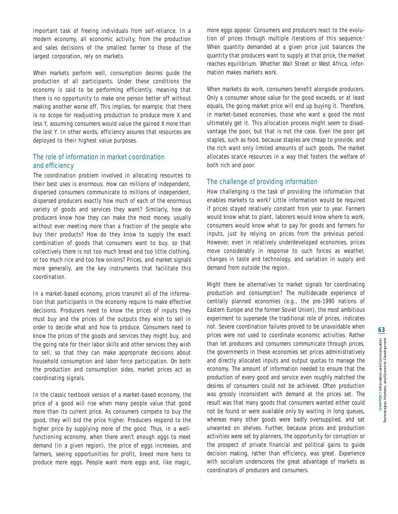important task of freeing individuals from self-reliance. In a modern economy, all economic activity, from the production and sales decisions of the smallest farmer to those of the largest corporation, rely on markets.

When markets perform well, consumption desires guide the production of all participants. Under these conditions the economy is said to be performing efficiently, meaning that there is no opportunity to make one person better off without making another worse off. This implies, for example, that there is no scope for readjusting production to produce more X and less Y, assuming consumers would value the gained X more than the lost Y. In other words, efficiency assures that resources are deployed to their highest value purposes.

# The role of information in market coordination and efficiency

The coordination problem involved in allocating resources to their best uses is enormous. How can millions of independent, dispersed consumers communicate to millions of independent, dispersed producers exactly how much of each of the enormous variety of goods and services they want? Similarly, how do producers know how they can make the most money, usually without ever meeting more than a fraction of the people who buy their products? How do they know to supply the exact combination of goods that consumers want to buy, so that collectively there is not too much bread and too little clothing, or too much rice and too few onions? Prices, and market signals more generally, are the key instruments that facilitate this coordination.

In a market-based economy, prices transmit all of the information that participants in the economy require to make effective decisions. Producers need to know the prices of inputs they must buy and the prices of the outputs they wish to sell in order to decide what and how to produce. Consumers need to know the prices of the goods and services they might buy, and the going rate for their labor skills and other services they wish to sell, so that they can make appropriate decisions about household consumption and labor force participation. On both the production and consumption sides, market prices act as coordinating signals.

In the classic textbook version of a market-based economy, the price of a good will rise when many people value that good more than its current price. As consumers compete to buy the good, they will bid the price higher. Producers respond to the higher price by supplying more of the good. Thus, in a wellfunctioning economy, when there aren't enough eggs to meet demand (in a given region), the price of eggs increases, and farmers, seeing opportunities for profit, breed more hens to produce more eggs. People want more eggs and, like magic,

more eggs appear. Consumers and producers react to the evolution of prices through multiple iterations of this sequence.<sup>1</sup> When quantity demanded at a given price just balances the quantity that producers want to supply at that price, the market reaches equilibrium. Whether Wall Street or West Africa, information makes markets work.

When markets do work, consumers benefit alongside producers. Only a consumer whose value for the good exceeds, or at least equals, the going market price will end up buying it. Therefore, in market-based economies, those who want a good the most ultimately get it. This allocation process might seem to disadvantage the poor, but that is not the case. Even the poor get staples, such as food, because staples are cheap to provide, and the rich want only limited amounts of such goods. The market allocates scarce resources in a way that fosters the welfare of both rich and poor.

## The challenge of providing information

How challenging is the task of providing the information that enables markets to work? Little information would be required if prices stayed relatively constant from year to year. Farmers would know what to plant, laborers would know where to work, consumers would know what to pay for goods and farmers for inputs, just by relying on prices from the previous period. However, even in relatively underdeveloped economies, prices move considerably in response to such forces as weather, changes in taste and technology, and variation in supply and demand from outside the region.

Might there be alternatives to market signals for coordinating production and consumption? The multidecade experience of centrally planned economies (e.g., the pre-1990 nations of Eastern Europe and the former Soviet Union), the most ambitious experiment to supersede the traditional role of prices, indicates not. Severe coordination failures proved to be unavoidable when prices were not used to coordinate economic activities. Rather than let producers and consumers communicate through prices, the governments in these economies set prices administratively and directly allocated inputs and output quotas to manage the economy. The amount of information needed to ensure that the production of every good and service even roughly matched the desires of consumers could not be achieved. Often production was grossly inconsistent with demand at the prices set. The result was that many goods that consumers wanted either could not be found or were available only by waiting in long queues, whereas many other goods were badly oversupplied, and sat unwanted on shelves. Further, because prices and production activities were set by planners, the opportunity for corruption or the prospect of private financial and political gains to guide decision making, rather than efficiency, was great. Experience with socialism underscores the great advantage of markets as coordinators of producers and consumers.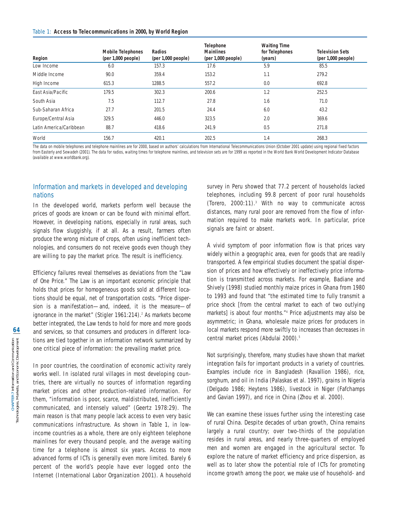#### Table 1: **Access to Telecommunications in 2000, by World Region**

| Region                  | <b>Mobile Telephones</b><br>(per 1,000 people) | Radios<br>(per 1,000 people) | <b>Telephone</b><br><b>Mainlines</b><br>(per 1,000 people) | <b>Waiting Time</b><br>for Telephones<br>(years) | <b>Television Sets</b><br>(per 1,000 people) |
|-------------------------|------------------------------------------------|------------------------------|------------------------------------------------------------|--------------------------------------------------|----------------------------------------------|
| Low Income              | 6.0                                            | 157.3                        | 17.6                                                       | 5.9                                              | 85.5                                         |
| Middle Income           | 90.0                                           | 359.4                        | 153.2                                                      | 1.1                                              | 279.2                                        |
| High Income             | 615.3                                          | 1288.5                       | 557.2                                                      | 0.0                                              | 692.8                                        |
| East Asia/Pacific       | 179.5                                          | 302.3                        | 200.6                                                      | 1.2                                              | 252.5                                        |
| South Asia              | 7.5                                            | 112.7                        | 27.8                                                       | 1.6                                              | 71.0                                         |
| Sub-Saharan Africa      | 27.7                                           | 201.5                        | 24.4                                                       | 6.0                                              | 43.2                                         |
| Europe/Central Asia     | 329.5                                          | 446.0                        | 323.5                                                      | 2.0                                              | 369.6                                        |
| Latin America/Caribbean | 88.7                                           | 418.6                        | 241.9                                                      | 0.5                                              | 271.8                                        |
| World                   | 156.7                                          | 420.1                        | 202.5                                                      | 1.4                                              | 268.3                                        |

The data on mobile telephones and telephone mainlines are for 2000, based on authors' calculations from International Telecommunications Union (October 2001 update) using regional fixed factors from Easterly and Sewadeh (2001). The data for radios, waiting times for telephone mainlines, and television sets are for 1999 as reported in the World Bank World Development Indicator Database (available at www.worldbank.org).

## Information and markets in developed and developing nations

In the developed world, markets perform well because the prices of goods are known or can be found with minimal effort. However, in developing nations, especially in rural areas, such signals flow sluggishly, if at all. As a result, farmers often produce the wrong mixture of crops, often using inefficient technologies, and consumers do not receive goods even though they are willing to pay the market price. The result is inefficiency.

Efficiency failures reveal themselves as deviations from the "Law of One Price." The Law is an important economic principle that holds that prices for homogeneous goods sold at different locations should be equal, net of transportation costs. "Price dispersion is a manifestation—and, indeed, it is the measure—of ignorance in the market" (Stigler 1961:214).<sup>2</sup> As markets become better integrated, the Law tends to hold for more and more goods and services, so that consumers and producers in different locations are tied together in an information network summarized by one critical piece of information: the prevailing market price.

In poor countries, the coordination of economic activity rarely works well. In isolated rural villages in most developing countries, there are virtually no sources of information regarding market prices and other production-related information. For them, "information is poor, scarce, maldistributed, inefficiently communicated, and intensely valued" (Geertz 1978:29). The main reason is that many people lack access to even very basic communications infrastructure. As shown in Table 1, in lowincome countries as a whole, there are only eighteen telephone mainlines for every thousand people, and the average waiting time for a telephone is almost six years. Access to more advanced forms of ICTs is generally even more limited. Barely 6 percent of the world's people have ever logged onto the Internet (International Labor Organization 2001). A household survey in Peru showed that 77.2 percent of households lacked telephones, including 99.8 percent of poor rural households (Torero, 2000:11).3 With no way to communicate across distances, many rural poor are removed from the flow of information required to make markets work. In particular, price signals are faint or absent.

A vivid symptom of poor information flow is that prices vary widely within a geographic area, even for goods that are readily transported. A few empirical studies document the spatial dispersion of prices and how effectively or ineffectively price information is transmitted across markets. For example, Badiane and Shively (1998) studied monthly maize prices in Ghana from 1980 to 1993 and found that "the estimated time to fully transmit a price shock [from the central market to each of two outlying markets] is about four months."<sup>4</sup> Price adjustments may also be asymmetric; in Ghana, wholesale maize prices for producers in local markets respond more swiftly to increases than decreases in central market prices (Abdulai 2000).<sup>5</sup>

Not surprisingly, therefore, many studies have shown that market integration fails for important products in a variety of countries. Examples include rice in Bangladesh (Ravallion 1986), rice, sorghum, and oil in India (Palaskas et al. 1997), grains in Nigeria (Delgado 1986; Heytens 1986), livestock in Niger (Fafchamps and Gavian 1997), and rice in China (Zhou et al. 2000).

We can examine these issues further using the interesting case of rural China. Despite decades of urban growth, China remains largely a rural country; over two-thirds of the population resides in rural areas, and nearly three-quarters of employed men and women are engaged in the agricultural sector. To explore the nature of market efficiency and price dispersion, as well as to later show the potential role of ICTs for promoting income growth among the poor, we make use of household- and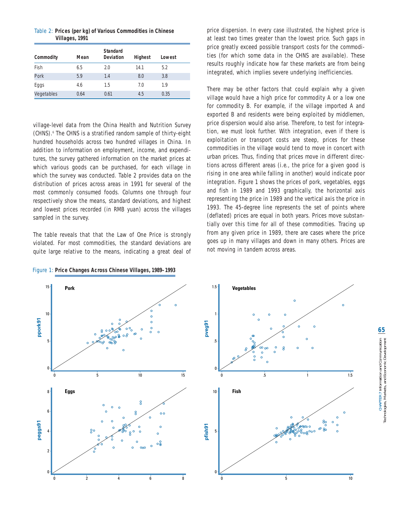|                | Table 2: Prices (per kg) of Various Commodities in Chinese |
|----------------|------------------------------------------------------------|
| Villages, 1991 |                                                            |

|            |      | <b>Standard</b>  |                |        |
|------------|------|------------------|----------------|--------|
| Commodity  | Mean | <b>Deviation</b> | <b>Highest</b> | Lowest |
| Fish       | 6.5  | 2.0              | 14.1           | 5.2    |
| Pork       | 5.9  | 1.4              | 8.0            | 3.8    |
| Eggs       | 4.6  | 1.5              | 7.0            | 1.9    |
| Vegetables | 0.64 | 0.61             | 4.5            | 0.35   |

village-level data from the China Health and Nutrition Survey (CHNS).6 The CHNS is a stratified random sample of thirty-eight hundred households across two hundred villages in China. In addition to information on employment, income, and expenditures, the survey gathered information on the market prices at which various goods can be purchased, for each village in which the survey was conducted. Table 2 provides data on the distribution of prices across areas in 1991 for several of the most commonly consumed foods. Columns one through four respectively show the means, standard deviations, and highest and lowest prices recorded (in RMB yuan) across the villages sampled in the survey.

The table reveals that that the Law of One Price is strongly violated. For most commodities, the standard deviations are quite large relative to the means, indicating a great deal of

Figure 1: **Price Changes Across Chinese Villages, 1989–1993**

15

10

**ppork91**

5

0

8

6

4

**peggs91**

2

0

price dispersion. In every case illustrated, the highest price is at least two times greater than the lowest price. Such gaps in price greatly exceed possible transport costs for the commodities (for which some data in the CHNS are available). These results roughly indicate how far these markets are from being integrated, which implies severe underlying inefficiencies.

There may be other factors that could explain why a given village would have a high price for commodity A or a low one for commodity B. For example, if the village imported A and exported B and residents were being exploited by middlemen, price dispersion would also arise. Therefore, to test for integration, we must look further. With integration, even if there is exploitation or transport costs are steep, prices for these commodities in the village would tend to move in concert with urban prices. Thus, finding that prices move in different directions across different areas (i.e., the price for a given good is rising in one area while falling in another) would indicate poor integration. Figure 1 shows the prices of pork, vegetables, eggs and fish in 1989 and 1993 graphically, the horizontal axis representing the price in 1989 and the vertical axis the price in 1993. The 45-degree line represents the set of points where (deflated) prices are equal in both years. Prices move substantially over this time for all of these commodities. Tracing up from any given price in 1989, there are cases where the price goes up in many villages and down in many others. Prices are not moving in tandem across areas.



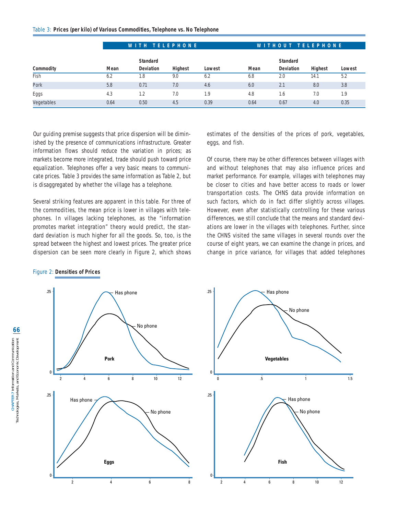|            | WITH TELEPHONE |                  |                |        | WITHOUT TELEPHONE |                  |                |        |
|------------|----------------|------------------|----------------|--------|-------------------|------------------|----------------|--------|
|            |                | <b>Standard</b>  |                |        |                   | <b>Standard</b>  |                |        |
| Commodity  | Mean           | <b>Deviation</b> | <b>Highest</b> | Lowest | Mean              | <b>Deviation</b> | <b>Highest</b> | Lowest |
| Fish       | 6.2            | 1.8              | 9.0            | 6.2    | 6.8               | 2.0              | 14.1           | 5.2    |
| Pork       | 5.8            | 0.71             | 7.0            | 4.6    | 6.0               | 2.1              | 8.0            | 3.8    |
| Eggs       | 4.3            | 1.2              | 7.0            | 1.9    | 4.8               | 1.6              | 7.0            | 1.9    |
| Vegetables | 0.64           | 0.50             | 4.5            | 0.39   | 0.64              | 0.67             | 4.0            | 0.35   |

Our guiding premise suggests that price dispersion will be diminished by the presence of communications infrastructure. Greater information flows should reduce the variation in prices; as markets become more integrated, trade should push toward price equalization. Telephones offer a very basic means to communicate prices. Table 3 provides the same information as Table 2, but is disaggregated by whether the village has a telephone.

Several striking features are apparent in this table. For three of the commodities, the mean price is lower in villages with telephones. In villages lacking telephones, as the "information promotes market integration" theory would predict, the standard deviation is much higher for all the goods. So, too, is the spread between the highest and lowest prices. The greater price dispersion can be seen more clearly in Figure 2, which shows

Has phone

2 4 6 8

No phone

estimates of the densities of the prices of pork, vegetables, eggs, and fish.

Of course, there may be other differences between villages with and without telephones that may also influence prices and market performance. For example, villages with telephones may be closer to cities and have better access to roads or lower transportation costs. The CHNS data provide information on such factors, which do in fact differ slightly across villages. However, even after statistically controlling for these various differences, we still conclude that the means and standard deviations are lower in the villages with telephones. Further, since the CHNS visited the same villages in several rounds over the course of eight years, we can examine the *change* in prices, and change in price variance, for villages that added telephones

#### Figure 2: **Densities of Prices**

.25



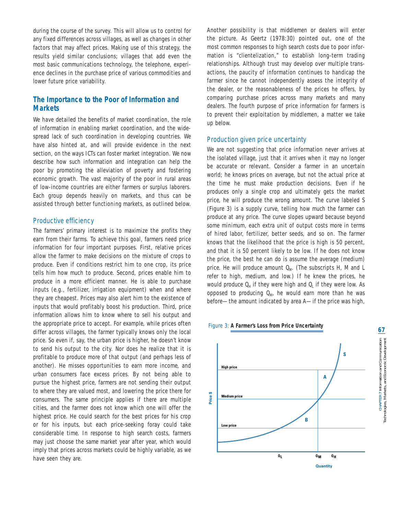during the course of the survey. This will allow us to control for any fixed differences across villages, as well as changes in other factors that may affect prices. Making use of this strategy, the results yield similar conclusions; villages that add even the most basic communications technology, the telephone, experience declines in the purchase price of various commodities and lower future price variability.

# **The Importance to the Poor of Information and Markets**

We have detailed the benefits of market coordination, the role of information in enabling market coordination, and the widespread lack of such coordination in developing countries. We have also hinted at, and will provide evidence in the next section, on the ways ICTs can foster market integration. We now describe how such information and integration can help the poor by promoting the alleviation of poverty and fostering economic growth. The vast majority of the poor in rural areas of low-income countries are either farmers or surplus laborers. Each group depends heavily on markets, and thus can be assisted through better functioning markets, as outlined below.

#### Productive efficiency

The farmers' primary interest is to maximize the profits they earn from their farms. To achieve this goal, farmers need price information for four important purposes. First, relative prices allow the farmer to make decisions on the mixture of crops to produce. Even if conditions restrict him to one crop, its price tells him how much to produce. Second, prices enable him to produce in a more efficient manner. He is able to purchase inputs (e.g., fertilizer, irrigation equipment) when and where they are cheapest. Prices may also alert him to the existence of inputs that would profitably boost his production. Third, price information allows him to know where to sell his output and the appropriate price to accept. For example, while prices often differ across villages, the farmer typically knows only the local price. So even if, say, the urban price is higher, he doesn't know to send his output to the city. Nor does he realize that it is profitable to produce more of that output (and perhaps less of another). He misses opportunities to earn more income, and urban consumers face excess prices. By not being able to pursue the highest price, farmers are not sending their output to where they are valued most, and lowering the price there for consumers. The same principle applies if there are multiple cities, and the farmer does not know which one will offer the highest price. He could search for the best prices for his crop or for his inputs, but each price-seeking foray could take considerable time. In response to high search costs, farmers may just choose the same market year after year, which would imply that prices across markets could be highly variable, as we have seen they are.

Another possibility is that middlemen or dealers will enter the picture. As Geertz (1978:30) pointed out, one of the most common responses to high search costs due to poor information is "clientelization," to establish long-term trading relationships. Although trust may develop over multiple transactions, the paucity of information continues to handicap the farmer since he cannot independently assess the integrity of the dealer, or the reasonableness of the prices he offers, by comparing purchase prices across many markets and many dealers. The fourth purpose of price information for farmers is to prevent their exploitation by middlemen, a matter we take up below.

#### Production given price uncertainty

We are not suggesting that price information never arrives at the isolated village, just that it arrives when it may no longer be accurate or relevant. Consider a farmer in an uncertain world; he knows prices on average, but not the actual price at the time he must make production decisions. Even if he produces only a single crop and ultimately gets the market price, he will produce the wrong amount. The curve labeled *S* (Figure 3) is a supply curve, telling how much the farmer can produce at any price. The curve slopes upward because beyond some minimum, each extra unit of output costs more in terms of hired labor, fertilizer, better seeds, and so on. The farmer knows that the likelihood that the price is high is 50 percent, and that it is 50 percent likely to be low. If he does not know the price, the best he can do is assume the average (medium) price. He will produce amount  $Q_M$ . (The subscripts H, M and L refer to high, medium, and low.) If he knew the prices, he would produce  $Q_H$  if they were high and  $Q_I$  if they were low. As opposed to producing  $Q_{M}$ , he would earn more than he was before—the amount indicated by area A—if the price was high,



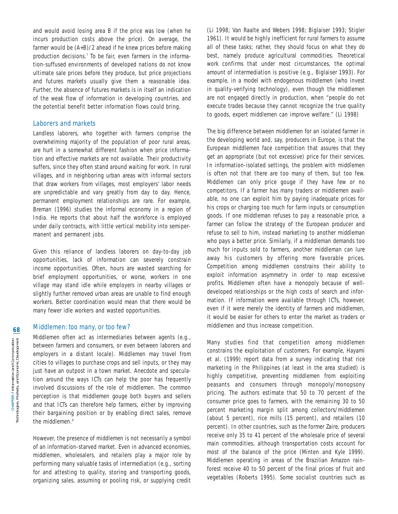and would avoid losing area B if the price was low (when he incurs production costs above the price). On average, the farmer would be (A+B)/2 ahead if he knew prices before making production decisions.<sup>7</sup> To be fair, even farmers in the information-suffused environments of developed nations do not know ultimate sale prices before they produce, but price projections and futures markets usually give them a reasonable idea. Further, the absence of futures markets is in itself an indication of the weak flow of information in developing countries, and the potential benefit better information flows could bring.

#### Laborers and markets

Landless laborers, who together with farmers comprise the overwhelming majority of the population of poor rural areas, are hurt in a somewhat different fashion when price information and effective markets are not available. Their productivity suffers, since they often stand around waiting for work. In rural villages, and in neighboring urban areas with informal sectors that draw workers from villages, most employers' labor needs are unpredictable and vary greatly from day to day. Hence, permanent employment relationships are rare. For example, Breman (1996) studies the informal economy in a region of India. He reports that about half the workforce is employed under daily contracts, with little vertical mobility into semipermanent and permanent jobs.

Given this reliance of landless laborers on day-to-day job opportunities, lack of information can severely constrain income opportunities. Often, hours are wasted searching for brief employment opportunities, or worse, workers in one village may stand idle while employers in nearby villages or slightly further removed urban areas are unable to find enough workers. Better coordination would mean that there would be many fewer idle workers and wasted opportunities.

#### Middlemen: too many, or too few?

Middlemen often act as intermediaries between agents (e.g., between farmers and consumers, or even between laborers and employers in a distant locale). Middlemen may travel from cities to villages to purchase crops and sell inputs, or they may just have an outpost in a town market. Anecdote and speculation around the ways ICTs can help the poor has frequently involved discussions of the role of middlemen. The common perception is that middlemen gouge both buyers and sellers and that ICTs can therefore help farmers, either by improving their bargaining position or by enabling direct sales, remove the middlemen.<sup>8</sup>

However, the presence of middlemen is not necessarily a symbol of an information-starved market. Even in advanced economies, middlemen, wholesalers, and retailers play a major role by performing many valuable tasks of intermediation (e.g., sorting for and attesting to quality, storing and transporting goods, organizing sales, assuming or pooling risk, or supplying credit

(Li 1998; Van Raalte and Webers 1998; Biglaiser 1993; Stigler 1961). It would be highly inefficient for rural farmers to assume all of these tasks; rather, they should focus on what they do best, namely produce agricultural commodities. Theoretical work confirms that under most circumstances, the optimal amount of intermediation is positive (e.g., Biglaiser 1993). For example, in a model with endogenous middlemen (who invest in quality-verifying technology), even though the middlemen are not engaged directly in production, when "people do not execute trades because they cannot recognize the true quality to goods, expert middlemen can improve welfare." (Li 1998)

The big difference between middlemen for an isolated farmer in the developing world and, say, producers in Europe, is that the European middlemen face competition that assures that they get an appropriate (but not excessive) price for their services. In information-isolated settings, the problem with middlemen is often not that there are too many of them, but too few. Middlemen can only price gouge if they have few or no competitors. If a farmer has many traders or middlemen available, no one can exploit him by paying inadequate prices for his crops or charging too much for farm inputs or consumption goods. If one middleman refuses to pay a reasonable price, a farmer can follow the strategy of the European producer and refuse to sell to him, instead marketing to another middleman who pays a better price. Similarly, if a middleman demands too much for inputs sold to farmers, another middleman can lure away his customers by offering more favorable prices. Competition among middlemen constrains their ability to exploit information asymmetry in order to reap excessive profits. Middlemen often have a monopoly because of welldeveloped relationships or the high costs of search and information. If information were available through ICTs, however, even if it were merely the identity of farmers and middlemen, it would be easier for others to enter the market as traders or middlemen and thus increase competition.

Many studies find that competition among middlemen constrains the exploitation of customers. For example, Hayami et al. (1999) report data from a survey indicating that rice marketing in the Philippines (at least in the area studied) is highly competitive, preventing middlemen from exploiting peasants and consumers through monopoly/monopsony pricing. The authors estimate that 50 to 70 percent of the consumer price goes to farmers, with the remaining 30 to 50 percent marketing margin split among collectors/middlemen (about 5 percent), rice mills (15 percent), and retailers (10 percent). In other countries, such as the former Zaire, producers receive only 35 to 41 percent of the wholesale price of several main commodities, although transportation costs account for most of the balance of the price (Minten and Kyle 1999). Middlemen operating in areas of the Brazilian Amazon rainforest receive 40 to 50 percent of the final prices of fruit and vegetables (Roberts 1995). Some socialist countries such as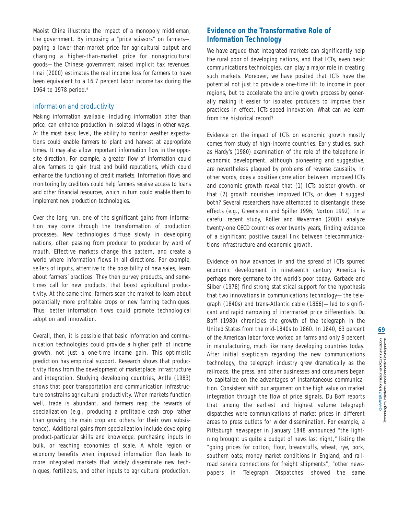Maoist China illustrate the impact of a monopoly middleman, the government. By imposing a "price scissors" on farmers paying a lower-than-market price for agricultural output and charging a higher-than-market price for nonagricultural goods—the Chinese government raised implicit tax revenues. Imai (2000) estimates the real income loss for farmers to have been equivalent to a 16.7 percent labor income tax during the 1964 to 1978 period.9

## Information and productivity

Making information available, including information other than price, can enhance production in isolated villages in other ways. At the most basic level, the ability to monitor weather expectations could enable farmers to plant and harvest at appropriate times. It may also allow important information flow in the opposite direction. For example, a greater flow of information could allow farmers to gain trust and build reputations, which could enhance the functioning of credit markets. Information flows and monitoring by creditors could help farmers receive access to loans and other financial resources, which in turn could enable them to implement new production technologies.

Over the long run, one of the significant gains from information may come through the transformation of production processes. New technologies diffuse slowly in developing nations, often passing from producer to producer by word of mouth. Effective markets change this pattern, and create a world where information flows in all directions. For example, sellers of inputs, attentive to the possibility of new sales, learn about farmers' practices. They then purvey products, and sometimes call for new products, that boost agricultural productivity. At the same time, farmers scan the market to learn about potentially more profitable crops or new farming techniques. Thus, better information flows could promote technological adoption and innovation.

Overall, then, it is possible that basic information and communication technologies could provide a higher path of income growth, not just a one-time income gain. This optimistic prediction has empirical support. Research shows that productivity flows from the development of marketplace infrastructure and integration. Studying developing countries, Antle (1983) shows that poor transportation and communication infrastructure constrains agricultural productivity. When markets function well, trade is abundant, and farmers reap the rewards of specialization (e.g., producing a profitable cash crop rather than growing the main crop and others for their own subsistence). Additional gains from specialization include developing product-particular skills and knowledge, purchasing inputs in bulk, or reaching economies of scale. A whole region or economy benefits when improved information flow leads to more integrated markets that widely disseminate new techniques, fertilizers, and other inputs to agricultural production.

# **Evidence on the Transformative Role of Information Technology**

We have argued that integrated markets can significantly help the rural poor of developing nations, and that ICTs, even basic communications technologies, can play a major role in creating such markets. Moreover, we have posited that ICTs have the potential not just to provide a one-time lift to income in poor regions, but to accelerate the entire growth process by generally making it easier for isolated producers to improve their practices In effect, ICTs speed innovation. What can we learn from the historical record?

Evidence on the impact of ICTs on economic growth mostly comes from study of high-income countries. Early studies, such as Hardy's (1980) examination of the role of the telephone in economic development, although pioneering and suggestive, are nevertheless plagued by problems of reverse causality. In other words, does a positive correlation between improved ICTs and economic growth reveal that (1) ICTs bolster growth, or that (2) growth nourishes improved ICTs, or does it suggest both? Several researchers have attempted to disentangle these effects (e.g., Greenstein and Spiller 1996; Norton 1992). In a careful recent study, Röller and Waverman (2001) analyze twenty-one OECD countries over twenty years, finding evidence of a significant positive causal link between telecommunications infrastructure and economic growth.

Evidence on how advances in and the spread of ICTs spurred economic development in nineteenth century America is perhaps more germane to the world's poor today. Garbade and Silber (1978) find strong statistical support for the hypothesis that two innovations in communications technology—the telegraph (1840s) and trans-Atlantic cable (1866)—led to significant and rapid narrowing of intermarket price differentials. Du Boff (1980) chronicles the growth of the telegraph in the United States from the mid-1840s to 1860. In 1840, 63 percent of the American labor force worked on farms and only 9 percent in manufacturing, much like many developing countries today. After initial skepticism regarding the new communications technology, the telegraph industry grew dramatically as the railroads, the press, and other businesses and consumers began to capitalize on the advantages of instantaneous communication. Consistent with our argument on the high value on market integration through the flow of price signals, Du Boff reports that among the earliest and highest volume telegraph dispatches were communications of market prices in different areas to press outlets for wider dissemination. For example, a Pittsburgh newspaper in January 1848 announced "the lightning brought us quite a budget of news last night," listing the "going prices for cotton, flour, breadstuffs, wheat, rye, pork, southern oats; money market conditions in England; and railroad service connections for freight shipments"; "other newspapers in 'Telegraph Dispatches' showed the same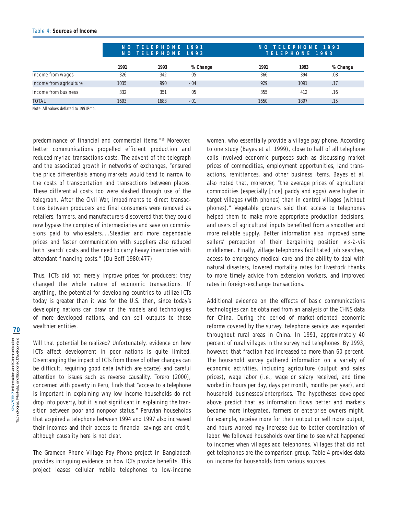|                         |      | NO TELEPHONE 1991<br>NO TELEPHONE 1993 |          |      | NO TELEPHONE 1991<br>TELEPHONE 1993 |          |  |
|-------------------------|------|----------------------------------------|----------|------|-------------------------------------|----------|--|
|                         | 1991 | 1993                                   | % Change | 1991 | 1993                                | % Change |  |
| Income from wages       | 326  | 342                                    | .05      | 366  | 394                                 | .08      |  |
| Income from agriculture | 1035 | 990                                    | $-.04$   | 929  | 1091                                | .17      |  |
| Income from business    | 332  | 351                                    | .05      | 355  | 412                                 | .16      |  |
| <b>TOTAL</b>            | 1693 | 1683                                   | $-.01$   | 1650 | 1897                                | .15      |  |

Note: All values deflated to 1991Rmb.

predominance of financial and commercial items."10 Moreover, better communications propelled efficient production and reduced myriad transactions costs. The advent of the telegraph and the associated growth in networks of exchanges, "ensured the price differentials among markets would tend to narrow to the costs of transportation and transactions between places. These differential costs too were slashed through use of the telegraph. After the Civil War, impediments to direct transactions between producers and final consumers were removed as retailers, farmers, and manufacturers discovered that they could now bypass the complex of intermediaries and save on commissions paid to wholesalers….Steadier and more dependable prices and faster communication with suppliers also reduced both 'search' costs and the need to carry heavy inventories with attendant financing costs." (Du Boff 1980:477)

Thus, ICTs did not merely improve prices for producers; they changed the whole nature of economic transactions. If anything, the potential for developing countries to utilize ICTs today is greater than it was for the U.S. then, since today's developing nations can draw on the models and technologies of more developed nations, and can sell outputs to those wealthier entities.

Will that potential be realized? Unfortunately, evidence on how ICTs affect development in poor nations is quite limited. Disentangling the impact of ICTs from those of other changes can be difficult, requiring good data (which are scarce) and careful attention to issues such as reverse causality. Torero (2000), concerned with poverty in Peru, finds that "access to a telephone is important in explaining why low income households do not drop into poverty, but it is not significant in explaining the transition between poor and nonpoor status." Peruvian households that acquired a telephone between 1994 and 1997 also increased their incomes and their access to financial savings and credit, although causality here is not clear.

The Grameen Phone Village Pay Phone project in Bangladesh provides intriguing evidence on how ICTs provide benefits. This project leases cellular mobile telephones to low-income women, who essentially provide a village pay phone. According to one study (Bayes et al. 1999), close to half of all telephone calls involved economic purposes such as discussing market prices of commodities, employment opportunities, land transactions, remittances, and other business items. Bayes et al. also noted that, moreover, "the average prices of agricultural commodities (especially [rice] paddy and eggs) were higher in target villages (with phones) than in control villages (without phones)." Vegetable growers said that access to telephones helped them to make more appropriate production decisions, and users of agricultural inputs benefited from a smoother and more reliable supply. Better information also improved some sellers' perception of their bargaining position vis-à-vis middlemen. Finally, village telephones facilitated job searches, access to emergency medical care and the ability to deal with natural disasters, lowered mortality rates for livestock thanks to more timely advice from extension workers, and improved rates in foreign-exchange transactions.

Additional evidence on the effects of basic communications technologies can be obtained from an analysis of the CHNS data for China. During the period of market-oriented economic reforms covered by the survey, telephone service was expanded throughout rural areas in China. In 1991, approximately 40 percent of rural villages in the survey had telephones. By 1993, however, that fraction had increased to more than 60 percent. The household survey gathered information on a variety of economic activities, including agriculture (output and sales prices), wage labor (i.e., wage or salary received, and time worked in hours per day, days per month, months per year), and household businesses/enterprises. The hypotheses developed above predict that as information flows better and markets become more integrated, farmers or enterprise owners might, for example, receive more for their output or sell more output, and hours worked may increase due to better coordination of labor. We followed households over time to see what happened to incomes when villages add telephones. Villages that did not get telephones are the comparison group. Table 4 provides data on income for households from various sources.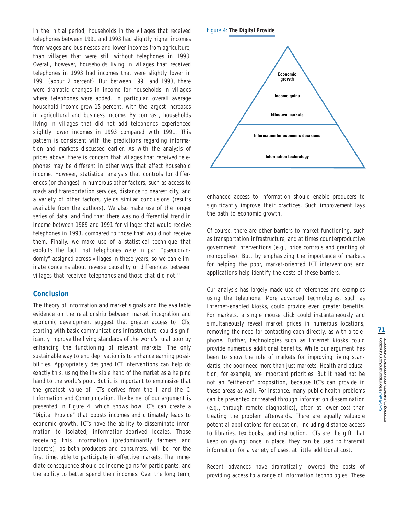In the initial period, households in the villages that received telephones between 1991 and 1993 had slightly higher incomes from wages and businesses and lower incomes from agriculture, than villages that were still without telephones in 1993. Overall, however, households living in villages that received telephones in 1993 had incomes that were slightly lower in 1991 (about 2 percent). But between 1991 and 1993, there were dramatic changes in income for households in villages where telephones were added. In particular, overall average household income grew 15 percent, with the largest increases in agricultural and business income. By contrast, households living in villages that did not add telephones experienced slightly lower incomes in 1993 compared with 1991. This pattern is consistent with the predictions regarding information and markets discussed earlier. As with the analysis of prices above, there is concern that villages that received telephones may be different in other ways that affect household income. However, statistical analysis that controls for differences (or changes) in numerous other factors, such as access to roads and transportation services, distance to nearest city, and a variety of other factors, yields similar conclusions (results available from the authors). We also make use of the longer series of data, and find that there was no differential trend in income between 1989 and 1991 for villages that would receive telephones in 1993, compared to those that would not receive them. Finally, we make use of a statistical technique that exploits the fact that telephones were in part "pseudorandomly" assigned across villages in these years, so we can eliminate concerns about reverse causality or differences between villages that received telephones and those that did not.<sup>11</sup>

# **Conclusion**

The theory of information and market signals and the available evidence on the relationship between market integration and economic development suggest that greater access to ICTs, starting with basic communications infrastructure, could significantly improve the living standards of the world's rural poor by enhancing the functioning of relevant markets. The only sustainable way to end deprivation is to enhance earning possibilities. Appropriately designed ICT interventions can help do exactly this, using the invisible hand of the market as a helping hand to the world's poor. But it is important to emphasize that the greatest value of ICTs derives from the *I* and the *C*: Information and Communication. The kernel of our argument is presented in Figure 4, which shows how ICTs can create a "Digital Provide" that boosts incomes and ultimately leads to economic growth. ICTs have the ability to disseminate information to isolated, information-deprived locales. Those receiving this information (predominantly farmers and laborers), as both producers and consumers, will be, for the first time, able to participate in effective markets. The immediate consequence should be income gains for participants, and the ability to better spend their incomes. Over the long term,

Figure 4: **The Digital Provide**



enhanced access to information should enable producers to significantly improve their practices. Such improvement lays the path to economic growth.

Of course, there are other barriers to market functioning, such as transportation infrastructure, and at times counterproductive government interventions (e.g., price controls and granting of monopolies). But, by emphasizing the importance of markets for helping the poor, market-oriented ICT interventions and applications help identify the costs of these barriers.

Our analysis has largely made use of references and examples using the telephone. More advanced technologies, such as Internet-enabled kiosks, could provide even greater benefits. For markets, a single mouse click could instantaneously and simultaneously reveal market prices in numerous locations, removing the need for contacting each directly, as with a telephone. Further, technologies such as Internet kiosks could provide numerous additional benefits. While our argument has been to show the role of markets for improving living standards, the poor need more than just markets. Health and education, for example, are important priorities. But it need not be not an "either-or" proposition, because ICTs can provide in these areas as well. For instance, many public health problems can be prevented or treated through information dissemination (e.g., through remote diagnostics), often at lower cost than treating the problem afterwards. There are equally valuable potential applications for education, including distance access to libraries, textbooks, and instruction. ICTs are the gift that keep on giving; once in place, they can be used to transmit information for a variety of uses, at little additional cost.

Recent advances have dramatically lowered the costs of providing access to a range of information technologies. These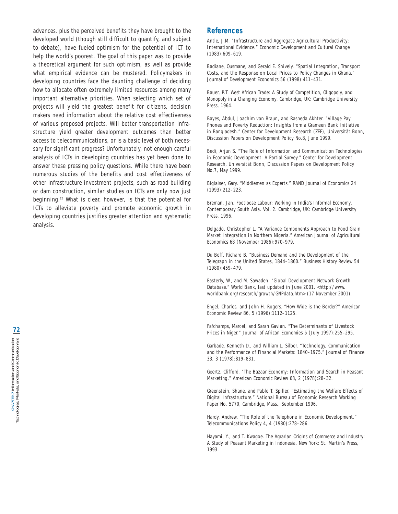advances, plus the perceived benefits they have brought to the developed world (though still difficult to quantify, and subject to debate), have fueled optimism for the potential of ICT to help the world's poorest. The goal of this paper was to provide a theoretical argument for such optimism, as well as provide what empirical evidence can be mustered. Policymakers in developing countries face the daunting challenge of deciding how to allocate often extremely limited resources among many important alternative priorities. When selecting which set of projects will yield the greatest benefit for citizens, decision makers need information about the relative cost effectiveness of various proposed projects. Will better transportation infrastructure yield greater development outcomes than better access to telecommunications, or is a basic level of both necessary for significant progress? Unfortunately, not enough careful analysis of ICTs in developing countries has yet been done to answer these pressing policy questions. While there have been numerous studies of the benefits and cost effectiveness of other infrastructure investment projects, such as road building or dam construction, similar studies on ICTs are only now just beginning.<sup>12</sup> What is clear, however, is that the potential for ICTs to alleviate poverty and promote economic growth in developing countries justifies greater attention and systematic analysis.

## **References**

Antle, J.M. "Infrastructure and Aggregate Agricultural Productivity: International Evidence." *Economic Development and Cultural Change* (1983):609–619.

Badiane, Ousmane, and Gerald E. Shively. "Spatial Integration, Transport Costs, and the Response on Local Prices to Policy Changes in Ghana." *Journal of Development Economics* 56 (1998):411–431.

Bauer, P.T. *West African Trade: A Study of Competition, Oligopoly, and Monopoly in a Changing Economy*. Cambridge, UK: Cambridge University Press, 1964.

Bayes, Abdul, Joachim von Braun, and Rasheda Akhter. "Village Pay Phones and Poverty Reduction: Insights from a Grameen Bank Initiative in Bangladesh." Center for Development Research (ZEF), Universität Bonn, Discussion Papers on Development Policy No.8, June 1999.

Bedi, Arjun S. "The Role of Information and Communication Technologies in Economic Development: A Partial Survey." Center for Development Research, Universität Bonn, Discussion Papers on Development Policy No.7, May 1999.

Biglaiser, Gary. "Middlemen as Experts." *RAND Journal of Economics* 24 (1993):212–223.

Breman, Jan. *Footloose Labour: Working in India's Informal Economy*. Contemporary South Asia. Vol. 2. Cambridge, UK: Cambridge University Press, 1996.

Delgado, Christopher L. "A Variance Components Approach to Food Grain Market Integration in Northern Nigeria." *American Journal of Agricultural Economics* 68 (November 1986):970–979.

Du Boff, Richard B. "Business Demand and the Development of the Telegraph in the United States, 1844–1860." *Business History Review* 54 (1980):459–479.

Easterly, W., and M. Sawadeh. "Global Development Network Growth Database." World Bank, last updated in June 2001. <http://www. worldbank.org/research/growth/GNPdata.htm> (17 November 2001).

Engel, Charles, and John H. Rogers. "How Wide is the Border?" *American Economic Review* 86, 5 (1996):1112–1125.

Fafchamps, Marcel, and Sarah Gavian. "The Determinants of Livestock Prices in Niger." *Journal of African Economies* 6 (July 1997):255–295.

Garbade, Kenneth D., and William L. Silber. "Technology, Communication and the Performance of Financial Markets: 1840–1975." *Journal of Finance* 33, 3 (1978):819–831.

Geertz, Clifford. "The Bazaar Economy: Information and Search in Peasant Marketing." *American Economic Review* 68, 2 (1978):28–32.

Greenstein, Shane, and Pablo T. Spiller. "Estimating the Welfare Effects of Digital Infrastructure." National Bureau of Economic Research Working Paper No. 5770, Cambridge, Mass., September 1996.

Hardy, Andrew. "The Role of the Telephone in Economic Development." *Telecommunications Policy* 4, 4 (1980):278–286.

Hayami, Y., and T. Kwagoe. *The Agrarian Origins of Commerce and Industry: A Study of Peasant Marketing in Indonesia*. New York: St. Martin's Press, 1993.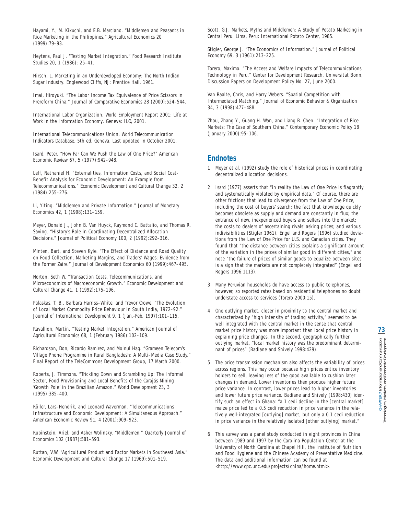Hayami, Y., M. Kikuchi, and E.B. Marciano. "Middlemen and Peasants in Rice Marketing in the Philippines." *Agricultural Economics* 20 (1999):79–93.

Heytens, Paul J. "Testing Market Integration." *Food Research Institute Studies* 20, 1 (1986): 25–41.

Hirsch, L. *Marketing in an Underdeveloped Economy: The North Indian Sugar Industry*. Englewood Cliffs, NJ: Prentice Hall, 1961.

Imai, Hiroyuki. "The Labor Income Tax Equivalence of Price Scissors in Prereform China." *Journal of Comparative Economics* 28 (2000):524–544.

International Labor Organization. *World Employment Report 2001: Life at Work in the Information Economy*. Geneva: ILO, 2001.

International Telecommunications Union. *World Telecommunication Indicators Database*. 5th ed. Geneva. Last updated in October 2001.

Isard, Peter. "How Far Can We Push the Law of One Price?" *American Economic Review* 67, 5 (1977):942–948.

Leff, Nathaniel H. "Externalities, Information Costs, and Social Cost-Benefit Analysis for Economic Development: An Example from Telecommunications." *Economic Development and Cultural Change* 32, 2 (1984):255–276.

Li, Yiting. "Middlemen and Private Information." *Journal of Monetary Economics* 42, 1 (1998):131–159.

Meyer, Donald J., John B. Van Huyck, Raymond C. Battalio, and Thomas R. Saving. "History's Role in Coordinating Decentralized Allocation Decisions." *Journal of Political Economy* 100, 2 (1992):292–316.

Minten, Bart, and Steven Kyle. "The Effect of Distance and Road Quality on Food Collection, Marketing Margins, and Traders' Wages: Evidence from the Former Zaire." *Journal of Development Economics* 60 (1999):467–495.

Norton, Seth W. "Transaction Costs, Telecommunications, and Microeconomics of Macroeconomic Growth." *Economic Development and Cultural Change* 41, 1 (1992):175–196.

Palaskas, T. B., Barbara Harriss–White, and Trevor Crowe. "The Evolution of Local Market Commodity Price Behaviour in South India, 1972–92." *Journal of International Development* 9, 1 (Jan.-Feb. 1997):101–115.

Ravallion, Martin. "Testing Market Integration." *American Journal of Agricultural Economics* 68, 1 (February 1986):102–109.

Richardson, Don, Ricardo Ramirez, and Moinul Haq. "Grameen Telecom's Village Phone Programme in Rural Bangladesh: A Multi–Media Case Study." Final Report of the TeleCommons Development Group, 17 March 2000.

Roberts, J. Timmons. "Trickling Down and Scrambling Up: The Informal Sector, Food Provisioning and Local Benefits of the Carajás Mining 'Growth Pole' in the Brazilian Amazon." *World Development* 23, 3 (1995):385–400.

Röller, Lars–Hendrik, and Leonard Waverman. "Telecommunications Infrastructure and Economic Development: A Simultaneous Approach." *American Economic Review* 91, 4 (2001):909–923.

Rubinstein, Ariel, and Asher Wolinsky. "Middlemen." *Quarterly Journal of Economics* 102 (1987):581–593.

Ruttan, V.W. "Agricultural Product and Factor Markets in Southeast Asia." *Economic Development and Cultural Change* 17 (1969):501–519.

Scott, G.J. *Markets, Myths and Middlemen: A Study of Potato Marketing in Central Peru*. Lima, Peru: International Potato Center, 1985.

Stigler, George J. "The Economics of Information." *Journal of Political Economy* 69, 3 (1961):213–225.

Torero, Maximo. "The Access and Welfare Impacts of Telecommunications Technology in Peru." Center for Development Research, Universität Bonn, Discussion Papers on Development Policy No. 27, June 2000.

Van Raalte, Chris, and Harry Webers. "Spatial Competition with Intermediated Matching." *Journal of Economic Behavior & Organization* 34, 3 (1998):477–488.

Zhou, Zhang Y., Guang H. Wan, and Liang B. Chen. "Integration of Rice Markets: The Case of Southern China." *Contemporary Economic Policy* 18 (January 2000):95–106.

# **Endnotes**

- 1 Meyer et al. (1992) study the role of historical prices in coordinating decentralized allocation decisions.
- 2 Isard (1977) asserts that "in reality the Law of One Price is flagrantly and systematically violated by empirical data." Of course, there are other frictions that lead to divergence from the Law of One Price, including the cost of buyers' search; the fact that knowledge quickly becomes obsolete as supply and demand are constantly in flux; the entrance of new, inexperienced buyers and sellers into the market; the costs to dealers of ascertaining rivals' asking prices; and various indivisibilities (Stigler 1961). Engel and Rogers (1996) studied deviations from the Law of One Price for U.S. and Canadian cities. They found that "the distance between cities explains a significant amount of the variation in the prices of similar good in different cities," and note "the failure of prices of similar goods to equalize between sites is a sign that the markets are not completely integrated" (Engel and Rogers 1996:1113).
- 3 Many Peruvian households do have access to public telephones, however, so reported rates based on residential telephones no doubt understate access to services (Torero 2000:15).
- 4 One outlying market, closer in proximity to the central market and characterized by "high intensity of trading activity," seemed to be well integrated with the central market in the sense that central market price history was more important than local price history in explaining price changes. In the second, geographically further outlying market, "local market history was the predominant determinant of prices" (Badiane and Shively 1998:429).
- 5 The price transmission mechanism also affects the variability of prices across regions. This may occur because high prices entice inventory holders to sell, leaving less of the good available to cushion later changes in demand. Lower inventories then produce higher future price variance. In contrast, lower prices lead to higher inventories and lower future price variance. Badiane and Shively (1998:430) identify such an effect in Ghana: "a 1 cedi decline in the [central market] maize price led to a 0.5 cedi reduction in price variance in the relatively well-integrated [outlying] market, but only a 0.1 cedi reduction in price variance in the relatively isolated [other outlying] market."
- 6 This survey was a panel study conducted in eight provinces in China between 1989 and 1997 by the Carolina Population Center at the University of North Carolina at Chapel Hill, the Institute of Nutrition and Food Hygiene and the Chinese Academy of Preventative Medicine. The data and additional information can be found at <http://www.cpc.unc.edu/projects/china/home.html>.